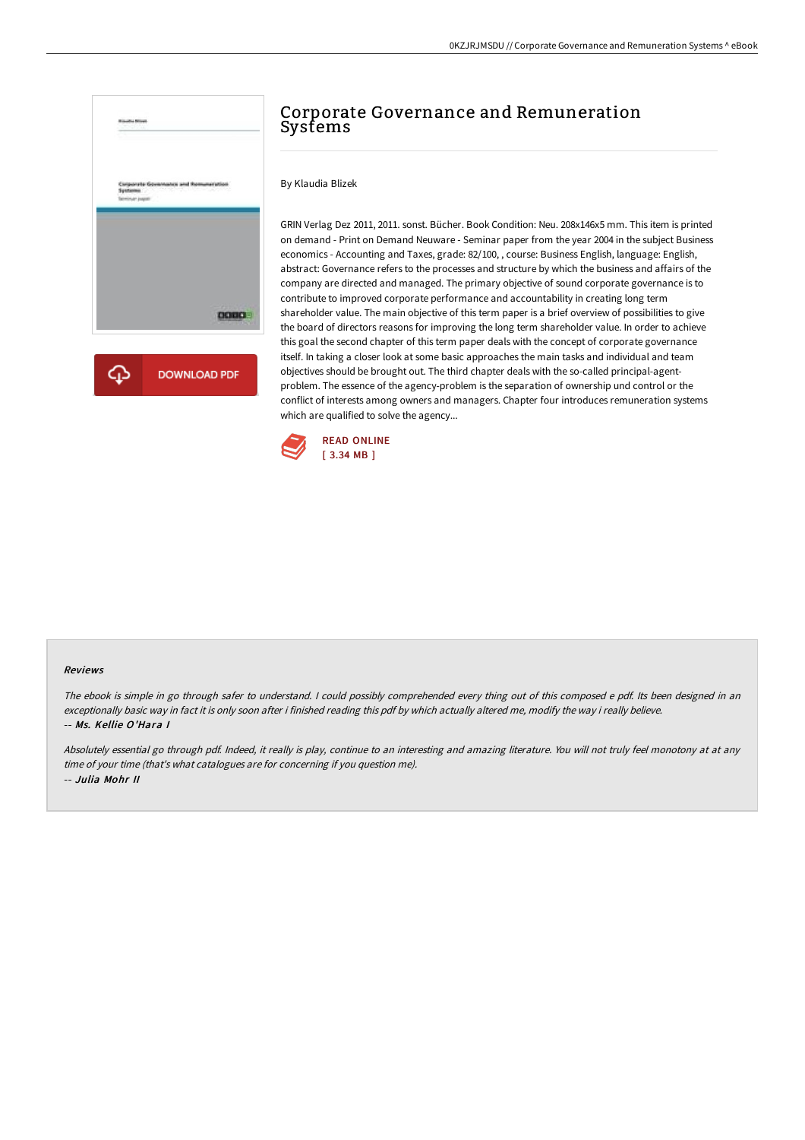

## Corporate Governance and Remuneration Systems

By Klaudia Blizek

GRIN Verlag Dez 2011, 2011. sonst. Bücher. Book Condition: Neu. 208x146x5 mm. This item is printed on demand - Print on Demand Neuware - Seminar paper from the year 2004 in the subject Business economics - Accounting and Taxes, grade: 82/100, , course: Business English, language: English, abstract: Governance refers to the processes and structure by which the business and affairs of the company are directed and managed. The primary objective of sound corporate governance is to contribute to improved corporate performance and accountability in creating long term shareholder value. The main objective of this term paper is a brief overview of possibilities to give the board of directors reasons for improving the long term shareholder value. In order to achieve this goal the second chapter of this term paper deals with the concept of corporate governance itself. In taking a closer look at some basic approaches the main tasks and individual and team objectives should be brought out. The third chapter deals with the so-called principal-agentproblem. The essence of the agency-problem is the separation of ownership und control or the conflict of interests among owners and managers. Chapter four introduces remuneration systems which are qualified to solve the agency...



## Reviews

The ebook is simple in go through safer to understand. <sup>I</sup> could possibly comprehended every thing out of this composed <sup>e</sup> pdf. Its been designed in an exceptionally basic way in fact it is only soon after i finished reading this pdf by which actually altered me, modify the way i really believe. -- Ms. Kellie O'Hara I

Absolutely essential go through pdf. Indeed, it really is play, continue to an interesting and amazing literature. You will not truly feel monotony at at any time of your time (that's what catalogues are for concerning if you question me). -- Julia Mohr II